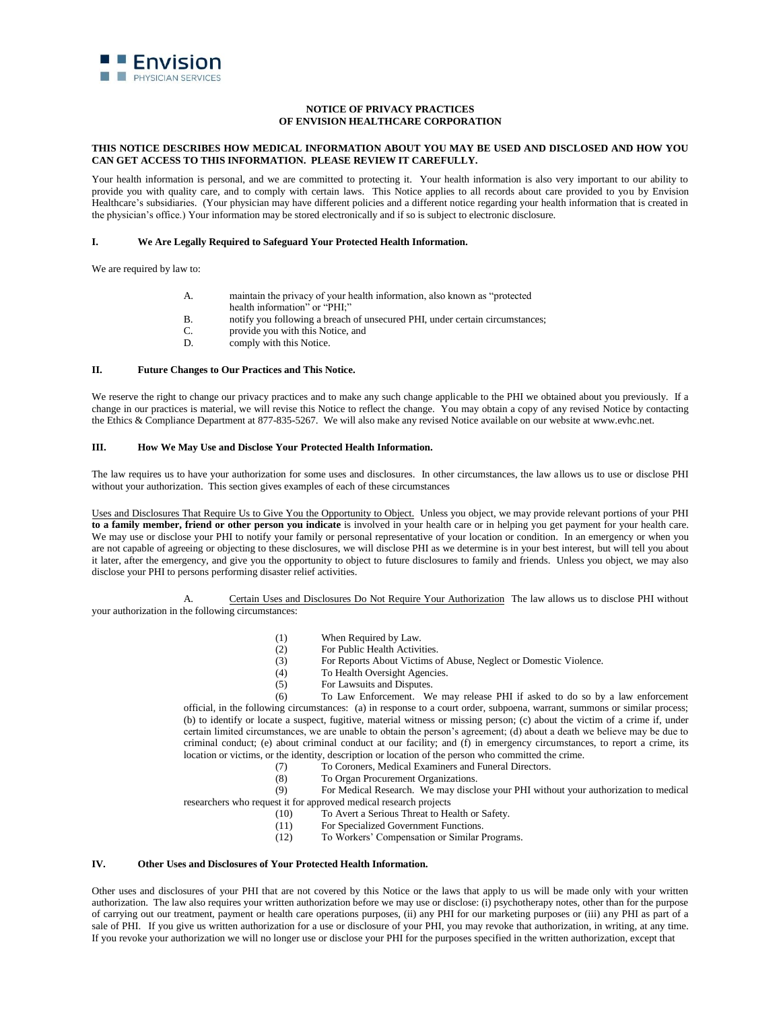

# **NOTICE OF PRIVACY PRACTICES OF ENVISION HEALTHCARE CORPORATION**

### **THIS NOTICE DESCRIBES HOW MEDICAL INFORMATION ABOUT YOU MAY BE USED AND DISCLOSED AND HOW YOU CAN GET ACCESS TO THIS INFORMATION. PLEASE REVIEW IT CAREFULLY.**

Your health information is personal, and we are committed to protecting it. Your health information is also very important to our ability to provide you with quality care, and to comply with certain laws. This Notice applies to all records about care provided to you by Envision Healthcare's subsidiaries. (Your physician may have different policies and a different notice regarding your health information that is created in the physician's office.) Your information may be stored electronically and if so is subject to electronic disclosure.

### **I. We Are Legally Required to Safeguard Your Protected Health Information.**

We are required by law to:

- A. maintain the privacy of your health information, also known as "protected health information" or "PHI;"
- B. notify you following a breach of unsecured PHI, under certain circumstances;
- C. provide you with this Notice, and
- D. comply with this Notice.

### **II. Future Changes to Our Practices and This Notice.**

We reserve the right to change our privacy practices and to make any such change applicable to the PHI we obtained about you previously. If a change in our practices is material, we will revise this Notice to reflect the change. You may obtain a copy of any revised Notice by contacting the Ethics & Compliance Department at 877-835-5267. We will also make any revised Notice available on our website at www.evhc.net.

## **III. How We May Use and Disclose Your Protected Health Information.**

The law requires us to have your authorization for some uses and disclosures. In other circumstances, the law allows us to use or disclose PHI without your authorization. This section gives examples of each of these circumstances

Uses and Disclosures That Require Us to Give You the Opportunity to Object.Unless you object, we may provide relevant portions of your PHI **to a family member, friend or other person you indicate** is involved in your health care or in helping you get payment for your health care. We may use or disclose your PHI to notify your family or personal representative of your location or condition. In an emergency or when you are not capable of agreeing or objecting to these disclosures, we will disclose PHI as we determine is in your best interest, but will tell you about it later, after the emergency, and give you the opportunity to object to future disclosures to family and friends. Unless you object, we may also disclose your PHI to persons performing disaster relief activities.

A. Certain Uses and Disclosures Do Not Require Your Authorization The law allows us to disclose PHI without your authorization in the following circumstances:

- (1) When Required by Law.
- (2) For Public Health Activities.
- (3) For Reports About Victims of Abuse, Neglect or Domestic Violence.
- (4) To Health Oversight Agencies.
- (5) For Lawsuits and Disputes.

(6) To Law Enforcement. We may release PHI if asked to do so by a law enforcement official, in the following circumstances: (a) in response to a court order, subpoena, warrant, summons or similar process; (b) to identify or locate a suspect, fugitive, material witness or missing person; (c) about the victim of a crime if, under certain limited circumstances, we are unable to obtain the person's agreement; (d) about a death we believe may be due to criminal conduct; (e) about criminal conduct at our facility; and (f) in emergency circumstances, to report a crime, its location or victims, or the identity, description or location of the person who committed the crime.

- (7) To Coroners, Medical Examiners and Funeral Directors.
- (8) To Organ Procurement Organizations.

(9) For Medical Research. We may disclose your PHI without your authorization to medical researchers who request it for approved medical research projects

- (10) To Avert a Serious Threat to Health or Safety.
- (11) For Specialized Government Functions.
- (12) To Workers' Compensation or Similar Programs.

# **IV. Other Uses and Disclosures of Your Protected Health Information.**

Other uses and disclosures of your PHI that are not covered by this Notice or the laws that apply to us will be made only with your written authorization. The law also requires your written authorization before we may use or disclose: (i) psychotherapy notes, other than for the purpose of carrying out our treatment, payment or health care operations purposes, (ii) any PHI for our marketing purposes or (iii) any PHI as part of a sale of PHI. If you give us written authorization for a use or disclosure of your PHI, you may revoke that authorization, in writing, at any time. If you revoke your authorization we will no longer use or disclose your PHI for the purposes specified in the written authorization, except that